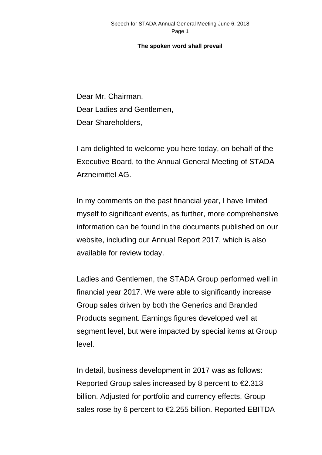Dear Mr. Chairman, Dear Ladies and Gentlemen, Dear Shareholders,

I am delighted to welcome you here today, on behalf of the Executive Board, to the Annual General Meeting of STADA Arzneimittel AG.

In my comments on the past financial year, I have limited myself to significant events, as further, more comprehensive information can be found in the documents published on our website, including our Annual Report 2017, which is also available for review today.

Ladies and Gentlemen, the STADA Group performed well in financial year 2017. We were able to significantly increase Group sales driven by both the Generics and Branded Products segment. Earnings figures developed well at segment level, but were impacted by special items at Group level.

In detail, business development in 2017 was as follows: Reported Group sales increased by 8 percent to  $\epsilon$ 2.313 billion. Adjusted for portfolio and currency effects, Group sales rose by 6 percent to €2.255 billion. Reported EBITDA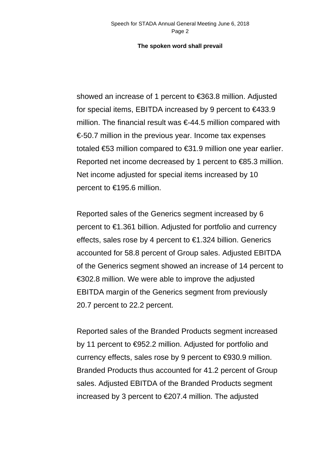showed an increase of 1 percent to €363.8 million. Adjusted for special items, EBITDA increased by 9 percent to €433.9 million. The financial result was  $\epsilon$ -44.5 million compared with €-50.7 million in the previous year. Income tax expenses totaled €53 million compared to €31.9 million one year earlier. Reported net income decreased by 1 percent to €85.3 million. Net income adjusted for special items increased by 10 percent to €195.6 million.

Reported sales of the Generics segment increased by 6 percent to €1.361 billion. Adjusted for portfolio and currency effects, sales rose by 4 percent to  $\epsilon$ 1.324 billion. Generics accounted for 58.8 percent of Group sales. Adjusted EBITDA of the Generics segment showed an increase of 14 percent to €302.8 million. We were able to improve the adjusted EBITDA margin of the Generics segment from previously 20.7 percent to 22.2 percent.

Reported sales of the Branded Products segment increased by 11 percent to €952.2 million. Adjusted for portfolio and currency effects, sales rose by 9 percent to €930.9 million. Branded Products thus accounted for 41.2 percent of Group sales. Adjusted EBITDA of the Branded Products segment increased by 3 percent to €207.4 million. The adjusted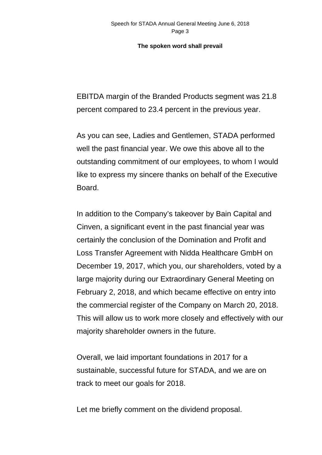EBITDA margin of the Branded Products segment was 21.8 percent compared to 23.4 percent in the previous year.

As you can see, Ladies and Gentlemen, STADA performed well the past financial year. We owe this above all to the outstanding commitment of our employees, to whom I would like to express my sincere thanks on behalf of the Executive Board.

In addition to the Company's takeover by Bain Capital and Cinven, a significant event in the past financial year was certainly the conclusion of the Domination and Profit and Loss Transfer Agreement with Nidda Healthcare GmbH on December 19, 2017, which you, our shareholders, voted by a large majority during our Extraordinary General Meeting on February 2, 2018, and which became effective on entry into the commercial register of the Company on March 20, 2018. This will allow us to work more closely and effectively with our majority shareholder owners in the future.

Overall, we laid important foundations in 2017 for a sustainable, successful future for STADA, and we are on track to meet our goals for 2018.

Let me briefly comment on the dividend proposal.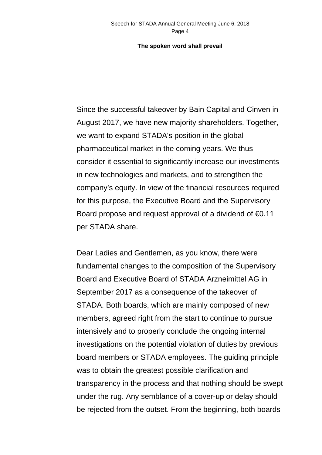Since the successful takeover by Bain Capital and Cinven in August 2017, we have new majority shareholders. Together, we want to expand STADA's position in the global pharmaceutical market in the coming years. We thus consider it essential to significantly increase our investments in new technologies and markets, and to strengthen the company's equity. In view of the financial resources required for this purpose, the Executive Board and the Supervisory Board propose and request approval of a dividend of  $\epsilon$ 0.11 per STADA share.

Dear Ladies and Gentlemen, as you know, there were fundamental changes to the composition of the Supervisory Board and Executive Board of STADA Arzneimittel AG in September 2017 as a consequence of the takeover of STADA. Both boards, which are mainly composed of new members, agreed right from the start to continue to pursue intensively and to properly conclude the ongoing internal investigations on the potential violation of duties by previous board members or STADA employees. The guiding principle was to obtain the greatest possible clarification and transparency in the process and that nothing should be swept under the rug. Any semblance of a cover-up or delay should be rejected from the outset. From the beginning, both boards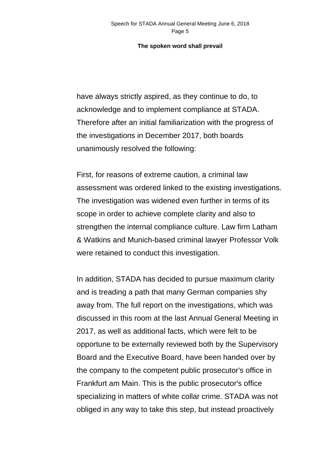have always strictly aspired, as they continue to do, to acknowledge and to implement compliance at STADA. Therefore after an initial familiarization with the progress of the investigations in December 2017, both boards unanimously resolved the following:

First, for reasons of extreme caution, a criminal law assessment was ordered linked to the existing investigations. The investigation was widened even further in terms of its scope in order to achieve complete clarity and also to strengthen the internal compliance culture. Law firm Latham & Watkins and Munich-based criminal lawyer Professor Volk were retained to conduct this investigation.

In addition, STADA has decided to pursue maximum clarity and is treading a path that many German companies shy away from. The full report on the investigations, which was discussed in this room at the last Annual General Meeting in 2017, as well as additional facts, which were felt to be opportune to be externally reviewed both by the Supervisory Board and the Executive Board, have been handed over by the company to the competent public prosecutor's office in Frankfurt am Main. This is the public prosecutor's office specializing in matters of white collar crime. STADA was not obliged in any way to take this step, but instead proactively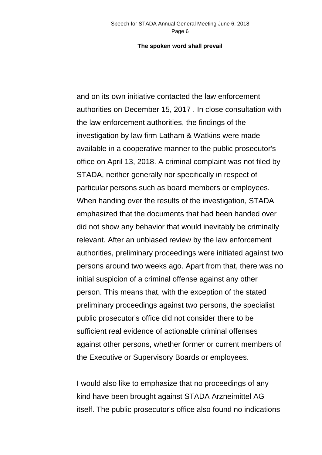and on its own initiative contacted the law enforcement authorities on December 15, 2017 . In close consultation with the law enforcement authorities, the findings of the investigation by law firm Latham & Watkins were made available in a cooperative manner to the public prosecutor's office on April 13, 2018. A criminal complaint was not filed by STADA, neither generally nor specifically in respect of particular persons such as board members or employees. When handing over the results of the investigation, STADA emphasized that the documents that had been handed over did not show any behavior that would inevitably be criminally relevant. After an unbiased review by the law enforcement authorities, preliminary proceedings were initiated against two persons around two weeks ago. Apart from that, there was no initial suspicion of a criminal offense against any other person. This means that, with the exception of the stated preliminary proceedings against two persons, the specialist public prosecutor's office did not consider there to be sufficient real evidence of actionable criminal offenses against other persons, whether former or current members of the Executive or Supervisory Boards or employees.

I would also like to emphasize that no proceedings of any kind have been brought against STADA Arzneimittel AG itself. The public prosecutor's office also found no indications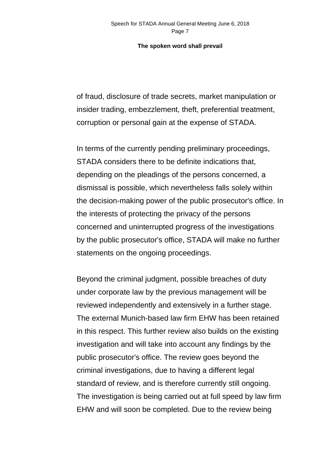of fraud, disclosure of trade secrets, market manipulation or insider trading, embezzlement, theft, preferential treatment, corruption or personal gain at the expense of STADA.

In terms of the currently pending preliminary proceedings, STADA considers there to be definite indications that, depending on the pleadings of the persons concerned, a dismissal is possible, which nevertheless falls solely within the decision-making power of the public prosecutor's office. In the interests of protecting the privacy of the persons concerned and uninterrupted progress of the investigations by the public prosecutor's office, STADA will make no further statements on the ongoing proceedings.

Beyond the criminal judgment, possible breaches of duty under corporate law by the previous management will be reviewed independently and extensively in a further stage. The external Munich-based law firm EHW has been retained in this respect. This further review also builds on the existing investigation and will take into account any findings by the public prosecutor's office. The review goes beyond the criminal investigations, due to having a different legal standard of review, and is therefore currently still ongoing. The investigation is being carried out at full speed by law firm EHW and will soon be completed. Due to the review being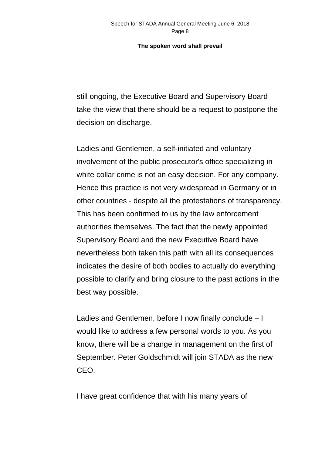still ongoing, the Executive Board and Supervisory Board take the view that there should be a request to postpone the decision on discharge.

Ladies and Gentlemen, a self-initiated and voluntary involvement of the public prosecutor's office specializing in white collar crime is not an easy decision. For any company. Hence this practice is not very widespread in Germany or in other countries - despite all the protestations of transparency. This has been confirmed to us by the law enforcement authorities themselves. The fact that the newly appointed Supervisory Board and the new Executive Board have nevertheless both taken this path with all its consequences indicates the desire of both bodies to actually do everything possible to clarify and bring closure to the past actions in the best way possible.

Ladies and Gentlemen, before I now finally conclude – I would like to address a few personal words to you. As you know, there will be a change in management on the first of September. Peter Goldschmidt will join STADA as the new CEO.

I have great confidence that with his many years of